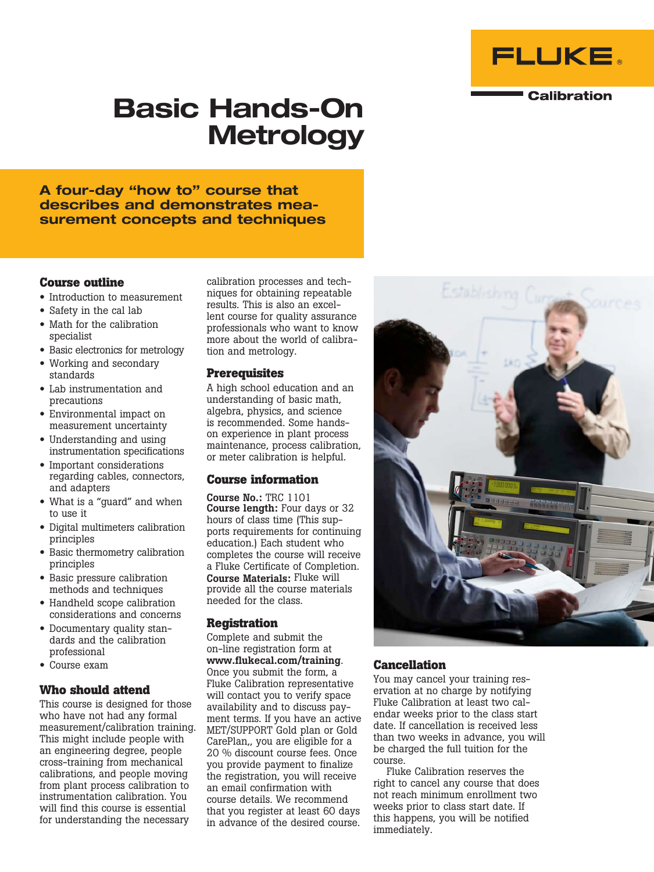

#### **Calibration**

# Basic Hands-On **Metrology**

A four-day "how to" course that describes and demonstrates measurement concepts and techniques

#### **Course outline**

- Introduction to measurement
- Safety in the cal lab
- Math for the calibration specialist
- Basic electronics for metrology
- Working and secondary standards
- Lab instrumentation and precautions
- Environmental impact on measurement uncertainty
- Understanding and using instrumentation specifications
- Important considerations regarding cables, connectors, and adapters
- What is a "guard" and when to use it
- Digital multimeters calibration principles
- Basic thermometry calibration principles
- Basic pressure calibration methods and techniques
- Handheld scope calibration considerations and concerns
- Documentary quality standards and the calibration professional
- Course exam

## **Who should attend**

This course is designed for those who have not had any formal measurement/calibration training. This might include people with an engineering degree, people cross-training from mechanical calibrations, and people moving from plant process calibration to instrumentation calibration. You will find this course is essential for understanding the necessary

calibration processes and techniques for obtaining repeatable results. This is also an excellent course for quality assurance professionals who want to know more about the world of calibration and metrology.

#### **Prerequisites**

A high school education and an understanding of basic math, algebra, physics, and science is recommended. Some handson experience in plant process maintenance, process calibration, or meter calibration is helpful.

## **Course information**

Course No.: TRC 1101 Course length: Four days or 32 hours of class time (This supports requirements for continuing education.) Each student who completes the course will receive a Fluke Certificate of Completion. Course Materials: Fluke will provide all the course materials needed for the class.

## **Registration**

Complete and submit the on-line registration form at www.flukecal.com/training. Once you submit the form, a Fluke Calibration representative will contact you to verify space availability and to discuss payment terms. If you have an active MET/SUPPORT Gold plan or Gold CarePlan,, you are eligible for a 20 % discount course fees. Once you provide payment to finalize the registration, you will receive an email confirmation with course details. We recommend that you register at least 60 days in advance of the desired course.



## **Cancellation**

You may cancel your training reservation at no charge by notifying Fluke Calibration at least two calendar weeks prior to the class start date. If cancellation is received less than two weeks in advance, you will be charged the full tuition for the course.

Fluke Calibration reserves the right to cancel any course that does not reach minimum enrollment two weeks prior to class start date. If this happens, you will be notified immediately.